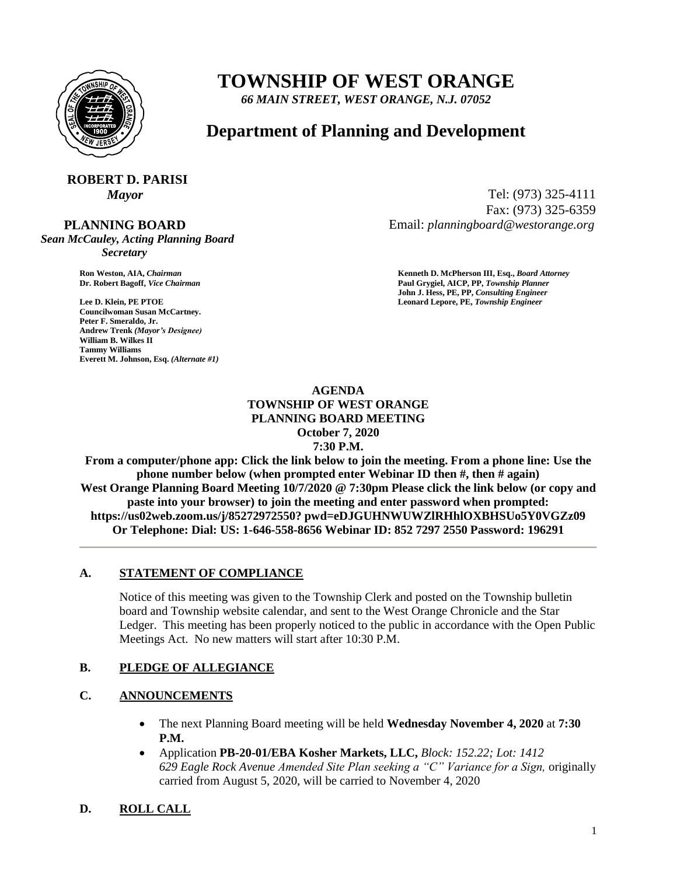

# **TOWNSHIP OF WEST ORANGE**

*66 MAIN STREET, WEST ORANGE, N.J. 07052*

### **Department of Planning and Development**

# **ROBERT D. PARISI**

 **PLANNING BOARD**

*Sean McCauley, Acting Planning Board Secretary*

**Councilwoman Susan McCartney. Peter F. Smeraldo, Jr. Andrew Trenk** *(Mayor's Designee)* **William B. Wilkes II Tammy Williams Everett M. Johnson, Esq.** *(Alternate #1)*

*Mayor* Tel: (973) 325-4111 Fax: (973) 325-6359 Email: *planningboard@westorange.org*

**Ron Weston, AIA,** *Chairman* **<b>Kenneth D. McPherson III, Esq.,** *Board Attorney* **Criminal Community Community Community Community Community Community Community Community Community Community Community Community Community Co Dr. Robert Bagoff,** *Vice Chairman* **Paul Grygiel, AICP, PP,** *Township Planner* **John J. Hess, PE, PP,** *Consulting Engineer* **Lee D. Klein, PE PTOE Leonard Lepore, PE,** *Township Engineer*

#### **AGENDA TOWNSHIP OF WEST ORANGE PLANNING BOARD MEETING October 7, 2020 7:30 P.M.**

**From a computer/phone app: Click the link below to join the meeting. From a phone line: Use the phone number below (when prompted enter Webinar ID then #, then # again) West Orange Planning Board Meeting 10/7/2020 @ 7:30pm Please click the link below (or copy and paste into your browser) to join the meeting and enter password when prompted: https://us02web.zoom.us/j/85272972550? pwd=eDJGUHNWUWZlRHhlOXBHSUo5Y0VGZz09 Or Telephone: Dial: US: 1-646-558-8656 Webinar ID: 852 7297 2550 Password: 196291**

#### **A. STATEMENT OF COMPLIANCE**

Notice of this meeting was given to the Township Clerk and posted on the Township bulletin board and Township website calendar, and sent to the West Orange Chronicle and the Star Ledger. This meeting has been properly noticed to the public in accordance with the Open Public Meetings Act. No new matters will start after 10:30 P.M.

#### **B. PLEDGE OF ALLEGIANCE**

#### **C. ANNOUNCEMENTS**

- The next Planning Board meeting will be held **Wednesday November 4, 2020** at **7:30 P.M.**
- Application **PB-20-01/EBA Kosher Markets, LLC,** *Block: 152.22; Lot: 1412 629 Eagle Rock Avenue Amended Site Plan seeking a "C" Variance for a Sign,* originally carried from August 5, 2020, will be carried to November 4, 2020

### **D. ROLL CALL**